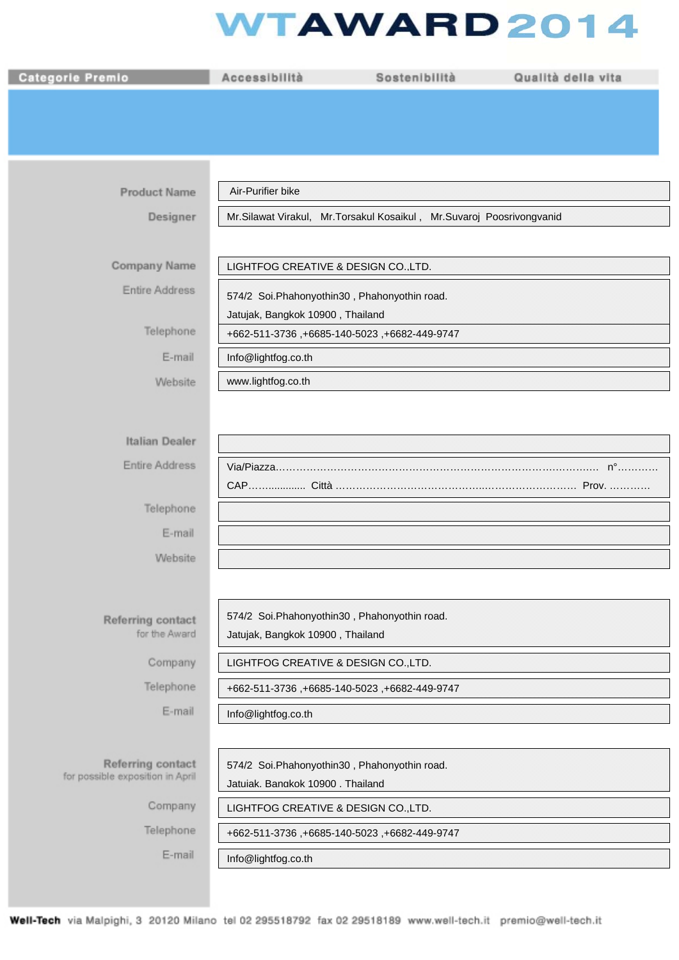## **WTAWARD2014**

| <b>Categorie Premio</b>          | Accessibilità                                                        | Sostenibilità                                 | Qualità della vita |  |
|----------------------------------|----------------------------------------------------------------------|-----------------------------------------------|--------------------|--|
|                                  |                                                                      |                                               |                    |  |
|                                  |                                                                      |                                               |                    |  |
|                                  |                                                                      |                                               |                    |  |
|                                  |                                                                      |                                               |                    |  |
| <b>Product Name</b>              | Air-Purifier bike                                                    |                                               |                    |  |
| Designer                         | Mr.Silawat Virakul, Mr.Torsakul Kosaikul, Mr.Suvaroj Poosrivongvanid |                                               |                    |  |
|                                  |                                                                      |                                               |                    |  |
| Company Name                     |                                                                      | LIGHTFOG CREATIVE & DESIGN COLTD.             |                    |  |
| Entire Address                   | 574/2 Soi. Phahonyothin 30, Phahonyothin road.                       |                                               |                    |  |
|                                  | Jatujak, Bangkok 10900, Thailand                                     |                                               |                    |  |
| Telephone                        | +662-511-3736, +6685-140-5023, +6682-449-9747                        |                                               |                    |  |
| E-mail                           | Info@lightfog.co.th                                                  |                                               |                    |  |
| Website                          | www.lightfog.co.th                                                   |                                               |                    |  |
|                                  |                                                                      |                                               |                    |  |
|                                  |                                                                      |                                               |                    |  |
| Italian Dealer                   |                                                                      |                                               |                    |  |
| <b>Entire Address</b>            |                                                                      |                                               |                    |  |
| Telephone                        |                                                                      |                                               |                    |  |
|                                  |                                                                      |                                               |                    |  |
| E-mail                           |                                                                      |                                               |                    |  |
| Website                          |                                                                      |                                               |                    |  |
|                                  |                                                                      |                                               |                    |  |
| Referring contact                |                                                                      | 574/2 Soi.Phahonyothin30, Phahonyothin road.  |                    |  |
| for the Award                    | Jatujak, Bangkok 10900, Thailand                                     |                                               |                    |  |
| Company                          |                                                                      | LIGHTFOG CREATIVE & DESIGN CO., LTD.          |                    |  |
| Telephone                        |                                                                      | +662-511-3736, +6685-140-5023, +6682-449-9747 |                    |  |
| E-mail                           | Info@lightfog.co.th                                                  |                                               |                    |  |
|                                  |                                                                      |                                               |                    |  |
|                                  |                                                                      |                                               |                    |  |
| Referring contact                |                                                                      | 574/2 Soi.Phahonyothin30, Phahonyothin road.  |                    |  |
| for possible exposition in April | Jatuiak. Bangkok 10900 . Thailand                                    |                                               |                    |  |
| Company                          |                                                                      | LIGHTFOG CREATIVE & DESIGN CO., LTD.          |                    |  |
| Telephone                        |                                                                      | +662-511-3736, +6685-140-5023, +6682-449-9747 |                    |  |
| E-mail                           | Info@lightfog.co.th                                                  |                                               |                    |  |